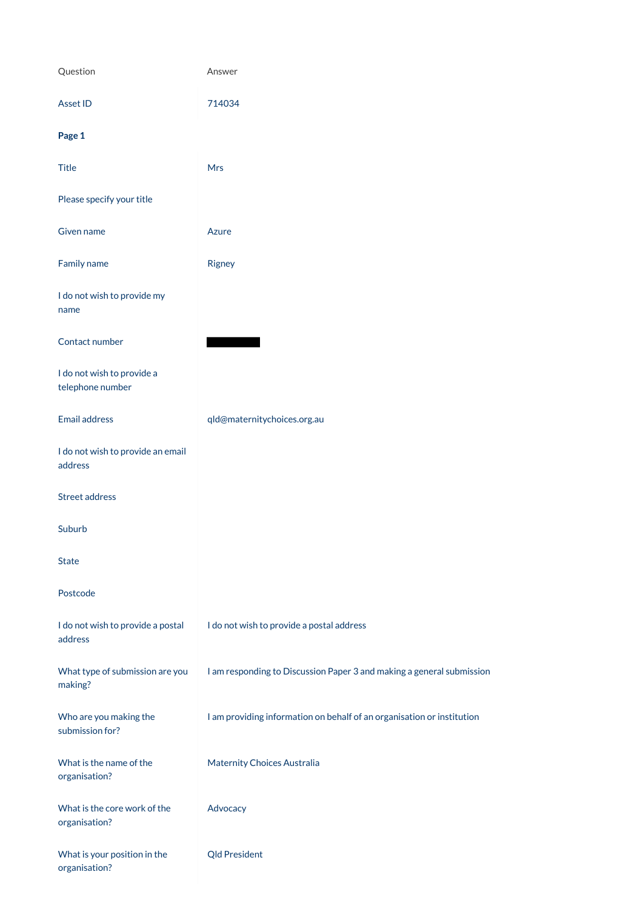| Question                                       | Answer                                                                |
|------------------------------------------------|-----------------------------------------------------------------------|
| Asset ID                                       | 714034                                                                |
| Page 1                                         |                                                                       |
| <b>Title</b>                                   | Mrs                                                                   |
| Please specify your title                      |                                                                       |
| Given name                                     | Azure                                                                 |
| Family name                                    | Rigney                                                                |
| I do not wish to provide my<br>name            |                                                                       |
| Contact number                                 |                                                                       |
| I do not wish to provide a<br>telephone number |                                                                       |
| <b>Email address</b>                           | qld@maternitychoices.org.au                                           |
| I do not wish to provide an email<br>address   |                                                                       |
| Street address                                 |                                                                       |
| Suburb                                         |                                                                       |
| <b>State</b>                                   |                                                                       |
| Postcode                                       |                                                                       |
| I do not wish to provide a postal<br>address   | I do not wish to provide a postal address                             |
| What type of submission are you                | I am responding to Discussion Paper 3 and making a general submission |

making?

Who are you making the submission for?

I am providing information on behalf of an organisation or institution

What is the name of the organisation?

Maternity Choices Australia

What is the core work of the organisation?

Advocacy

What is your position in the organisation?

Qld President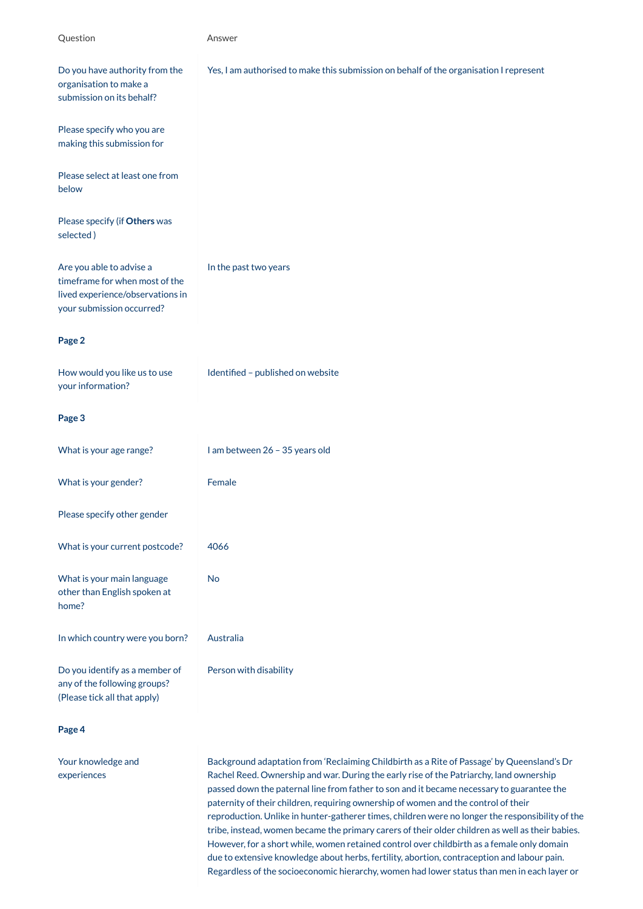any of the following group (Please tick all that apply)

| Question                                                                                                                    | Answer                                                                                 |
|-----------------------------------------------------------------------------------------------------------------------------|----------------------------------------------------------------------------------------|
| Do you have authority from the<br>organisation to make a<br>submission on its behalf?                                       | Yes, I am authorised to make this submission on behalf of the organisation I represent |
| Please specify who you are<br>making this submission for                                                                    |                                                                                        |
| Please select at least one from<br>below                                                                                    |                                                                                        |
| Please specify (if Others was<br>selected)                                                                                  |                                                                                        |
| Are you able to advise a<br>timeframe for when most of the<br>lived experience/observations in<br>your submission occurred? | In the past two years                                                                  |
| Page 2                                                                                                                      |                                                                                        |
| How would you like us to use<br>your information?                                                                           | Identified - published on website                                                      |
| Page 3                                                                                                                      |                                                                                        |
| What is your age range?                                                                                                     | I am between 26 - 35 years old                                                         |
| What is your gender?                                                                                                        | Female                                                                                 |
| Please specify other gender                                                                                                 |                                                                                        |
| What is your current postcode?                                                                                              | 4066                                                                                   |
| What is your main language<br>other than English spoken at<br>home?                                                         | <b>No</b>                                                                              |
| In which country were you born?                                                                                             | Australia                                                                              |
| Do you identify as a member of<br>any of the following groups?                                                              | Person with disability                                                                 |

**Page 4**

Your knowledge and experiences

Background adaptation from 'Reclaiming Childbirth as a Rite of Passage' by Queensland's Dr Rachel Reed. Ownership and war. During the early rise of the Patriarchy, land ownership passed down the paternal line from father to son and it became necessary to guarantee the paternity of their children, requiring ownership of women and the control of their reproduction. Unlike in hunter-gatherer times, children were no longer the responsibility of the tribe, instead, women became the primary carers of their older children as well as their babies. However, for a short while, women retained control over childbirth as a female only domain due to extensive knowledge about herbs, fertility, abortion, contraception and labour pain. Regardless of the socioeconomic hierarchy, women had lower status than men in each layer or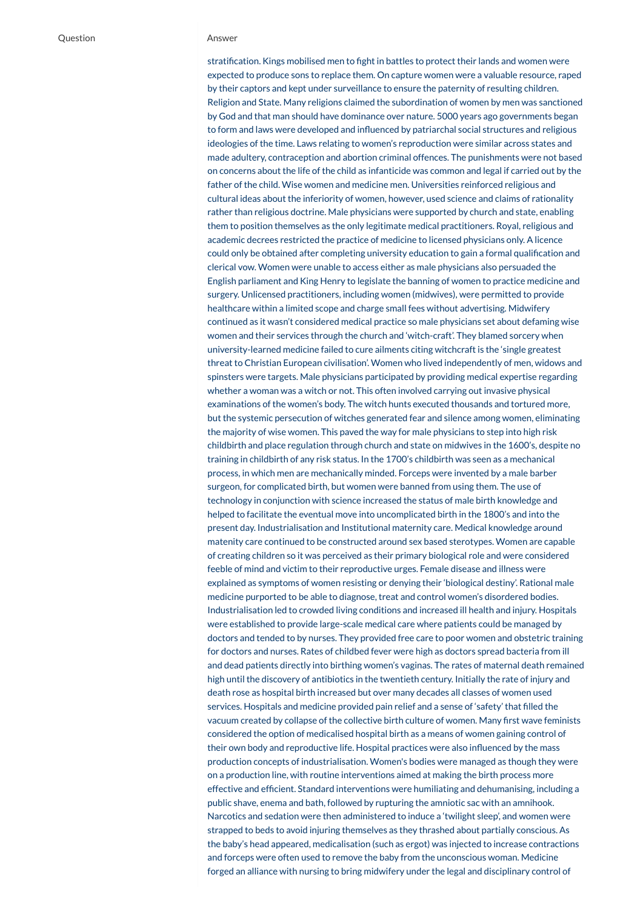stratification. Kings mobilised men to fight in battles to protect their lands and women were expected to produce sons to replace them. On capture women were a valuable resource, raped by their captors and kept under surveillance to ensure the paternity of resulting children. Religion and State. Many religions claimed the subordination of women by men was sanctioned by God and that man should have dominance over nature. 5000 years ago governments began to form and laws were developed and influenced by patriarchal social structures and religious ideologies of the time. Laws relating to women's reproduction were similar across states and made adultery, contraception and abortion criminal offences. The punishments were not based on concerns about the life of the child as infanticide was common and legal if carried out by the father of the child. Wise women and medicine men. Universities reinforced religious and cultural ideas about the inferiority of women, however, used science and claims of rationality rather than religious doctrine. Male physicians were supported by church and state, enabling them to position themselves as the only legitimate medical practitioners. Royal, religious and academic decrees restricted the practice of medicine to licensed physicians only. A licence could only be obtained after completing university education to gain a formal qualification and clerical vow. Women were unable to access either as male physicians also persuaded the English parliament and King Henry to legislate the banning of women to practice medicine and surgery. Unlicensed practitioners, including women (midwives), were permitted to provide healthcare within a limited scope and charge small fees without advertising. Midwifery continued as it wasn't considered medical practice so male physicians set about defaming wise women and their services through the church and 'witch-craft'. They blamed sorcery when university-learned medicine failed to cure ailments citing witchcraft is the 'single greatest threat to Christian European civilisation'. Women who lived independently of men, widows and spinsters were targets. Male physicians participated by providing medical expertise regarding whether a woman was a witch or not. This often involved carrying out invasive physical examinations of the women's body. The witch hunts executed thousands and tortured more, but the systemic persecution of witches generated fear and silence among women, eliminating the majority of wise women. This paved the way for male physicians to step into high risk childbirth and place regulation through church and state on midwives in the 1600's, despite no training in childbirth of any risk status. In the 1700's childbirth was seen as a mechanical process, in which men are mechanically minded. Forceps were invented by a male barber surgeon, for complicated birth, but women were banned from using them. The use of technology in conjunction with science increased the status of male birth knowledge and helped to facilitate the eventual move into uncomplicated birth in the 1800's and into the present day. Industrialisation and Institutional maternity care. Medical knowledge around matenity care continued to be constructed around sex based sterotypes. Women are capable of creating children so it was perceived as their primary biological role and were considered feeble of mind and victim to their reproductive urges. Female disease and illness were explained as symptoms of women resisting or denying their 'biological destiny'. Rational male medicine purported to be able to diagnose, treat and control women's disordered bodies. Industrialisation led to crowded living conditions and increased ill health and injury. Hospitals were established to provide large-scale medical care where patients could be managed by doctors and tended to by nurses. They provided free care to poor women and obstetric training for doctors and nurses. Rates of childbed fever were high as doctors spread bacteria from ill and dead patients directly into birthing women's vaginas. The rates of maternal death remained high until the discovery of antibiotics in the twentieth century. Initially the rate of injury and death rose as hospital birth increased but over many decades all classes of women used services. Hospitals and medicine provided pain relief and a sense of 'safety' that filled the vacuum created by collapse of the collective birth culture of women. Many first wave feminists considered the option of medicalised hospital birth as a means of women gaining control of their own body and reproductive life. Hospital practices were also influenced by the mass production concepts of industrialisation. Women's bodies were managed as though they were on a production line, with routine interventions aimed at making the birth process more effective and efficient. Standard interventions were humiliating and dehumanising, including a public shave, enema and bath, followed by rupturing the amniotic sac with an amnihook. Narcotics and sedation were then administered to induce a 'twilight sleep', and women were strapped to beds to avoid injuring themselves as they thrashed about partially conscious. As the baby's head appeared, medicalisation (such as ergot) was injected to increase contractions and forceps were often used to remove the baby from the unconscious woman. Medicine forged an alliance with nursing to bring midwifery under the legal and disciplinary control of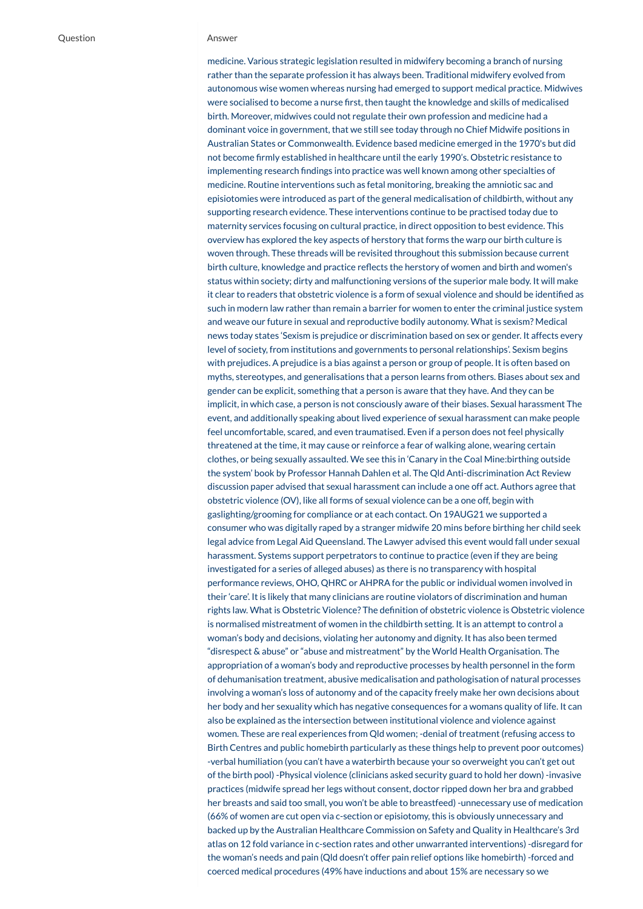medicine. Various strategic legislation resulted in midwifery becoming a branch of nursing rather than the separate profession it has always been. Traditional midwifery evolved from autonomous wise women whereas nursing had emerged to support medical practice. Midwives were socialised to become a nurse first, then taught the knowledge and skills of medicalised birth. Moreover, midwives could not regulate their own profession and medicine had a dominant voice in government, that we still see today through no Chief Midwife positions in Australian States or Commonwealth. Evidence based medicine emerged in the 1970's but did not become firmly established in healthcare until the early 1990's. Obstetric resistance to implementing research findings into practice was well known among other specialties of medicine. Routine interventions such as fetal monitoring, breaking the amniotic sac and episiotomies were introduced as part of the general medicalisation of childbirth, without any supporting research evidence. These interventions continue to be practised today due to maternity services focusing on cultural practice, in direct opposition to best evidence. This overview has explored the key aspects of herstory that forms the warp our birth culture is woven through. These threads will be revisited throughout this submission because current birth culture, knowledge and practice reflects the herstory of women and birth and women's status within society; dirty and malfunctioning versions of the superior male body. It will make it clear to readers that obstetric violence is a form of sexual violence and should be identified as such in modern law rather than remain a barrier for women to enter the criminal justice system and weave our future in sexual and reproductive bodily autonomy. What is sexism? Medical news today states 'Sexism is prejudice or discrimination based on sex or gender. It affects every level of society, from institutions and governments to personal relationships'. Sexism begins with prejudices. A prejudice is a bias against a person or group of people. It is often based on myths, stereotypes, and generalisations that a person learns from others. Biases about sex and gender can be explicit, something that a person is aware that they have. And they can be implicit, in which case, a person is not consciously aware of their biases. Sexual harassment The event, and additionally speaking about lived experience of sexual harassment can make people feel uncomfortable, scared, and even traumatised. Even if a person does not feel physically threatened at the time, it may cause or reinforce a fear of walking alone, wearing certain clothes, or being sexually assaulted. We see this in 'Canary in the Coal Mine:birthing outside the system' book by Professor Hannah Dahlen et al. The Qld Anti-discrimination Act Review discussion paper advised that sexual harassment can include a one off act. Authors agree that obstetric violence (OV), like all forms of sexual violence can be a one off, begin with gaslighting/grooming for compliance or at each contact. On 19AUG21 we supported a consumer who was digitally raped by a stranger midwife 20 mins before birthing her child seek legal advice from Legal Aid Queensland. The Lawyer advised this event would fall under sexual harassment. Systems support perpetrators to continue to practice (even if they are being investigated for a series of alleged abuses) as there is no transparency with hospital performance reviews, OHO, QHRC or AHPRA for the public or individual women involved in their 'care'. It is likely that many clinicians are routine violators of discrimination and human rights law. What is Obstetric Violence? The definition of obstetric violence is Obstetric violence is normalised mistreatment of women in the childbirth setting. It is an attempt to control a woman's body and decisions, violating her autonomy and dignity. It has also been termed "disrespect & abuse" or "abuse and mistreatment" by the World Health Organisation. The appropriation of a woman's body and reproductive processes by health personnel in the form of dehumanisation treatment, abusive medicalisation and pathologisation of natural processes involving a woman's loss of autonomy and of the capacity freely make her own decisions about her body and her sexuality which has negative consequences for a womans quality of life. It can also be explained as the intersection between institutional violence and violence against women. These are real experiences from Qld women; -denial of treatment (refusing access to Birth Centres and public homebirth particularly as these things help to prevent poor outcomes) -verbal humiliation (you can't have a waterbirth because your so overweight you can't get out of the birth pool) -Physical violence (clinicians asked security guard to hold her down) -invasive practices (midwife spread her legs without consent, doctor ripped down her bra and grabbed her breasts and said too small, you won't be able to breastfeed) -unnecessary use of medication (66% of women are cut open via c-section or episiotomy, this is obviously unnecessary and backed up by the Australian Healthcare Commission on Safety and Quality in Healthcare's 3rd atlas on 12 fold variance in c-section rates and other unwarranted interventions) -disregard for the woman's needs and pain (Qld doesn't offer pain relief options like homebirth) -forced and coerced medical procedures (49% have inductions and about 15% are necessary so we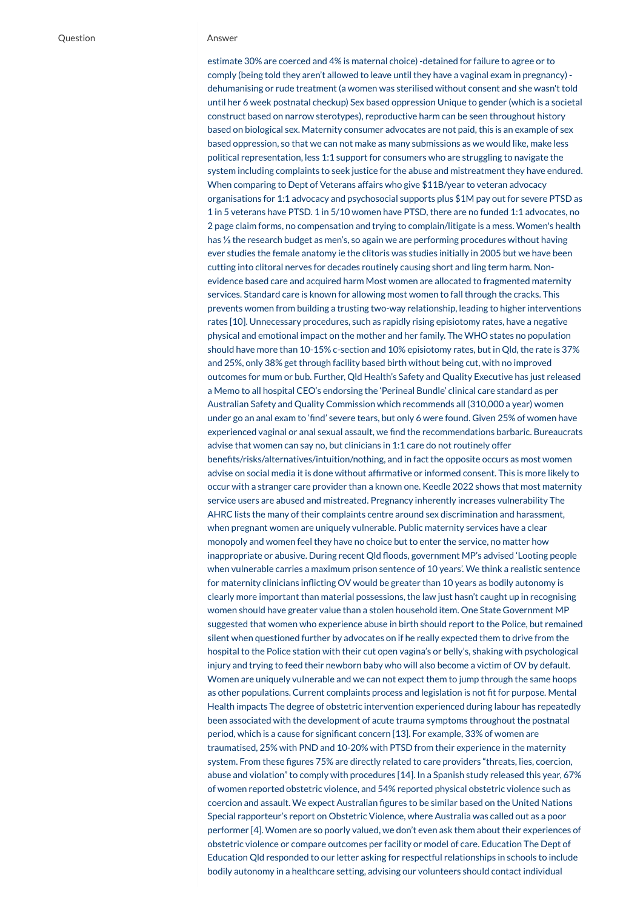estimate 30% are coerced and 4% is maternal choice) -detained for failure to agree or to comply (being told they aren't allowed to leave until they have a vaginal exam in pregnancy) dehumanising or rude treatment (a women was sterilised without consent and she wasn't told until her 6 week postnatal checkup) Sex based oppression Unique to gender (which is a societal construct based on narrow sterotypes), reproductive harm can be seen throughout history based on biological sex. Maternity consumer advocates are not paid, this is an example of sex based oppression, so that we can not make as many submissions as we would like, make less political representation, less 1:1 support for consumers who are struggling to navigate the system including complaints to seek justice for the abuse and mistreatment they have endured. When comparing to Dept of Veterans affairs who give \$11B/year to veteran advocacy organisations for 1:1 advocacy and psychosocial supports plus \$1M pay out for severe PTSD as 1 in 5 veterans have PTSD. 1 in 5/10 women have PTSD, there are no funded 1:1 advocates, no 2 page claim forms, no compensation and trying to complain/litigate is a mess. Women's health has ⅓ the research budget as men's, so again we are performing procedures without having ever studies the female anatomy ie the clitoris was studies initially in 2005 but we have been cutting into clitoral nerves for decades routinely causing short and ling term harm. Nonevidence based care and acquired harm Most women are allocated to fragmented maternity services. Standard care is known for allowing most women to fall through the cracks. This prevents women from building a trusting two-way relationship, leading to higher interventions rates [10]. Unnecessary procedures, such as rapidly rising episiotomy rates, have a negative physical and emotional impact on the mother and her family. The WHO states no population should have more than 10-15% c-section and 10% episiotomy rates, but in Qld, the rate is 37% and 25%, only 38% get through facility based birth without being cut, with no improved outcomes for mum or bub. Further, Qld Health's Safety and Quality Executive has just released a Memo to all hospital CEO's endorsing the 'Perineal Bundle' clinical care standard as per Australian Safety and Quality Commission which recommends all (310,000 a year) women under go an anal exam to 'find' severe tears, but only 6 were found. Given 25% of women have experienced vaginal or anal sexual assault, we find the recommendations barbaric. Bureaucrats advise that women can say no, but clinicians in 1:1 care do not routinely offer benefits/risks/alternatives/intuition/nothing, and in fact the opposite occurs as most women advise on social media it is done without affirmative or informed consent. This is more likely to occur with a stranger care provider than a known one. Keedle 2022 shows that most maternity service users are abused and mistreated. Pregnancy inherently increases vulnerability The AHRC lists the many of their complaints centre around sex discrimination and harassment, when pregnant women are uniquely vulnerable. Public maternity services have a clear monopoly and women feel they have no choice but to enter the service, no matter how inappropriate or abusive. During recent Qld floods, government MP's advised 'Looting people when vulnerable carries a maximum prison sentence of 10 years'. We think a realistic sentence for maternity clinicians inflicting OV would be greater than 10 years as bodily autonomy is clearly more important than material possessions, the law just hasn't caught up in recognising women should have greater value than a stolen household item. One State Government MP suggested that women who experience abuse in birth should report to the Police, but remained silent when questioned further by advocates on if he really expected them to drive from the hospital to the Police station with their cut open vagina's or belly's, shaking with psychological injury and trying to feed their newborn baby who will also become a victim of OV by default. Women are uniquely vulnerable and we can not expect them to jump through the same hoops as other populations. Current complaints process and legislation is not fit for purpose. Mental Health impacts The degree of obstetric intervention experienced during labour has repeatedly been associated with the development of acute trauma symptoms throughout the postnatal period, which is a cause for significant concern [13]. For example, 33% of women are traumatised, 25% with PND and 10-20% with PTSD from their experience in the maternity system. From these figures 75% are directly related to care providers "threats, lies, coercion, abuse and violation" to comply with procedures [14]. In a Spanish study released this year, 67% of women reported obstetric violence, and 54% reported physical obstetric violence such as coercion and assault. We expect Australian figures to be similar based on the United Nations Special rapporteur's report on Obstetric Violence, where Australia was called out as a poor performer [4]. Women are so poorly valued, we don't even ask them about their experiences of obstetric violence or compare outcomes per facility or model of care. Education The Dept of Education Qld responded to our letter asking for respectful relationships in schools to include bodily autonomy in a healthcare setting, advising our volunteers should contact individual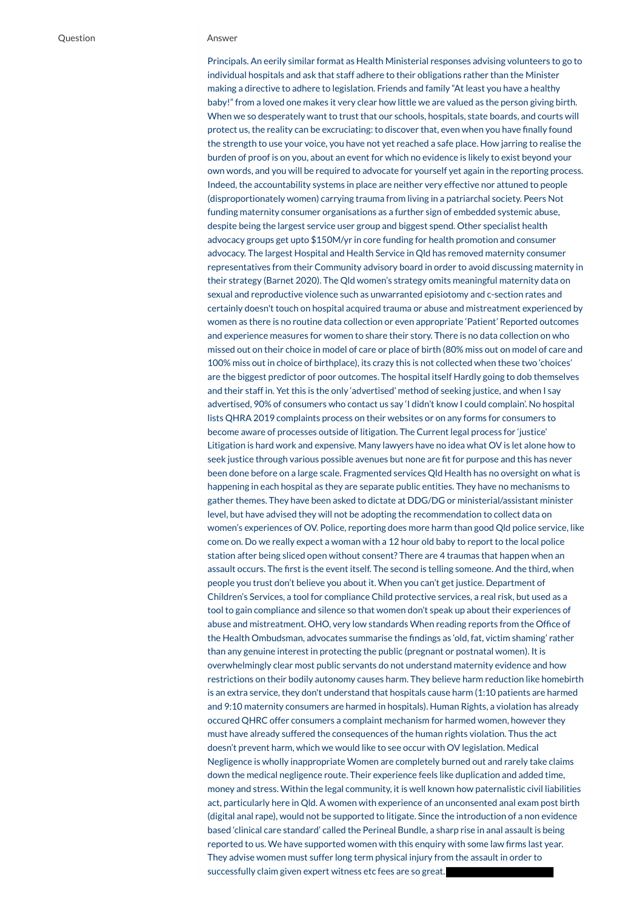Principals. An eerily similar format as Health Ministerial responses advising volunteers to go to individual hospitals and ask that staff adhere to their obligations rather than the Minister making a directive to adhere to legislation. Friends and family "At least you have a healthy baby!" from a loved one makes it very clear how little we are valued as the person giving birth. When we so desperately want to trust that our schools, hospitals, state boards, and courts will protect us, the reality can be excruciating: to discover that, even when you have finally found the strength to use your voice, you have not yet reached a safe place. How jarring to realise the burden of proof is on you, about an event for which no evidence is likely to exist beyond your own words, and you will be required to advocate for yourself yet again in the reporting process. Indeed, the accountability systems in place are neither very effective nor attuned to people (disproportionately women) carrying trauma from living in a patriarchal society. Peers Not funding maternity consumer organisations as a further sign of embedded systemic abuse, despite being the largest service user group and biggest spend. Other specialist health advocacy groups get upto \$150M/yr in core funding for health promotion and consumer advocacy. The largest Hospital and Health Service in Qld has removed maternity consumer representatives from their Community advisory board in order to avoid discussing maternity in their strategy (Barnet 2020). The Qld women's strategy omits meaningful maternity data on sexual and reproductive violence such as unwarranted episiotomy and c-section rates and certainly doesn't touch on hospital acquired trauma or abuse and mistreatment experienced by women as there is no routine data collection or even appropriate 'Patient' Reported outcomes and experience measures for women to share their story. There is no data collection on who missed out on their choice in model of care or place of birth (80% miss out on model of care and 100% miss out in choice of birthplace), its crazy this is not collected when these two 'choices' are the biggest predictor of poor outcomes. The hospital itself Hardly going to dob themselves and their staff in. Yet this is the only 'advertised' method of seeking justice, and when I say advertised, 90% of consumers who contact us say 'I didn't know I could complain'. No hospital lists QHRA 2019 complaints process on their websites or on any forms for consumers to become aware of processes outside of litigation. The Current legal process for 'justice' Litigation is hard work and expensive. Many lawyers have no idea what OV is let alone how to seek justice through various possible avenues but none are fit for purpose and this has never been done before on a large scale. Fragmented services Qld Health has no oversight on what is happening in each hospital as they are separate public entities. They have no mechanisms to gather themes. They have been asked to dictate at DDG/DG or ministerial/assistant minister level, but have advised they will not be adopting the recommendation to collect data on women's experiences of OV. Police, reporting does more harm than good Qld police service, like come on. Do we really expect a woman with a 12 hour old baby to report to the local police station after being sliced open without consent? There are 4 traumas that happen when an assault occurs. The first is the event itself. The second is telling someone. And the third, when people you trust don't believe you about it. When you can't get justice. Department of Children's Services, a tool for compliance Child protective services, a real risk, but used as a tool to gain compliance and silence so that women don't speak up about their experiences of abuse and mistreatment. OHO, very low standards When reading reports from the Office of the Health Ombudsman, advocates summarise the findings as 'old, fat, victim shaming' rather than any genuine interest in protecting the public (pregnant or postnatal women). It is overwhelmingly clear most public servants do not understand maternity evidence and how restrictions on their bodily autonomy causes harm. They believe harm reduction like homebirth is an extra service, they don't understand that hospitals cause harm (1:10 patients are harmed and 9:10 maternity consumers are harmed in hospitals). Human Rights, a violation has already occured QHRC offer consumers a complaint mechanism for harmed women, however they must have already suffered the consequences of the human rights violation. Thus the act doesn't prevent harm, which we would like to see occur with OV legislation. Medical Negligence is wholly inappropriate Women are completely burned out and rarely take claims down the medical negligence route. Their experience feels like duplication and added time, money and stress. Within the legal community, it is well known how paternalistic civil liabilities act, particularly here in Qld. A women with experience of an unconsented anal exam post birth (digital anal rape), would not be supported to litigate. Since the introduction of a non evidence based 'clinical care standard' called the Perineal Bundle, a sharp rise in anal assault is being reported to us. We have supported women with this enquiry with some law firms last year. They advise women must suffer long term physical injury from the assault in order to successfully claim given expert witness etc fees are so great.